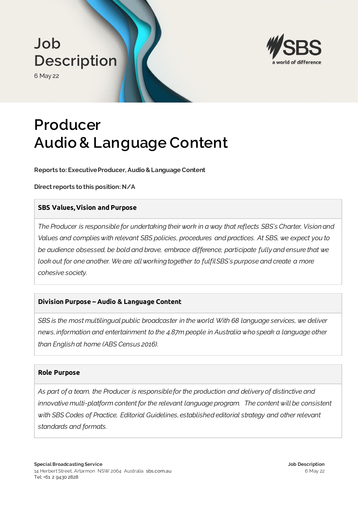





# **Producer Audio & Language Content**

**Reports to: Executive Producer, Audio & Language Content**

**Direct reports to this position: N/A**

## **SBS Values, Vision and Purpose**

*The Producer is responsible for undertaking their work in a way that reflects SBS's Charter, Vision and Values and complies with relevant SBS policies, procedures and practices. At SBS, we expect you to be audience obsessed, be bold and brave, embrace difference, participate fully and ensure that we look out for one another. We are all working together to fulfil SBS's purpose and create a more cohesive society.*

## **Division Purpose – Audio & Language Content**

*SBS is the most multilingual public broadcaster in the world. With 68 language services, we deliver news, information and entertainment to the 4.87m people in Australia who speak a language other than English at home (ABS Census 2016).*

### **Role Purpose**

*As part of a team, the Producer is responsible for the production and delivery of distinctive and*  innovative multi-platform content for the relevant language program. The content will be consistent *with SBS Codes of Practice, Editorial Guidelines, established editorial strategy and other relevant standards and formats.*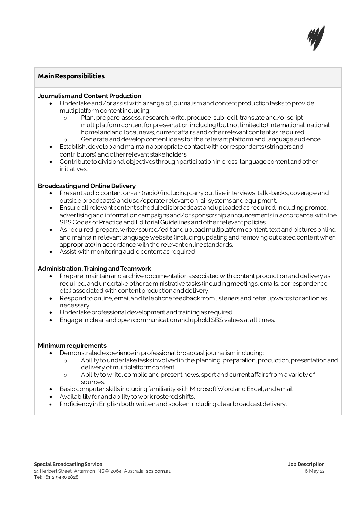

## **Main Responsibilities**

#### **Journalism and Content Production**

- Undertake and/or assist with a range of journalism and content production tasks to provide multiplatform content including:
	- o Plan, prepare, assess, research, write, produce, sub-edit, translate and/or script multiplatform content for presentation including (but not limited to) international, national, homeland and local news, current affairs and other relevant content as required.
	- o Generate and develop content ideas for the relevant platform and language audience.
- Establish, develop and maintain appropriate contact with correspondents (stringers and contributors) and other relevant stakeholders.
- Contribute to divisional objectives through participation in cross-language content and other initiatives.

#### **Broadcasting and Online Delivery**

- Present audio content on-air (radio) (including carry out live interviews, talk-backs, coverage and outside broadcasts) and use/operate relevant on-air systems and equipment.
- Ensure all relevant content scheduled is broadcast and uploaded as required, including promos, advertising and information campaigns and/or sponsorship announcements in accordance with the SBS Codes of Practice and Editorial Guidelines and other relevant policies.
- As required, prepare, write/source/edit and upload multiplatform content, text and pictures online, and maintain relevant language website (including updating and removing out dated content when appropriate) in accordance with the relevant online standards.
- Assist with monitoring audio content as required.

#### **Administration, Training and Teamwork**

- Prepare, maintain and archive documentation associated with content production and delivery as required, and undertake other administrative tasks (including meetings, emails, correspondence, etc.) associated with content production and delivery.
- Respond to online, email and telephone feedback from listeners and refer upwards for action as necessary.
- Undertake professional development and training as required.
- Engage in clear and open communication and uphold SBS values at all times.

#### **Minimum requirements**

- Demonstrated experience in professional broadcast journalism including:
	- o Ability to undertake tasks involved in the planning, preparation, production, presentation and delivery of multiplatform content.
	- o Ability to write, compile and present news, sport and current affairs from a variety of sources.
- Basic computer skills including familiarity with Microsoft Word and Excel, and email.
- Availability for and ability to work rostered shifts.
- Proficiency in English both written and spoken including clear broadcast delivery.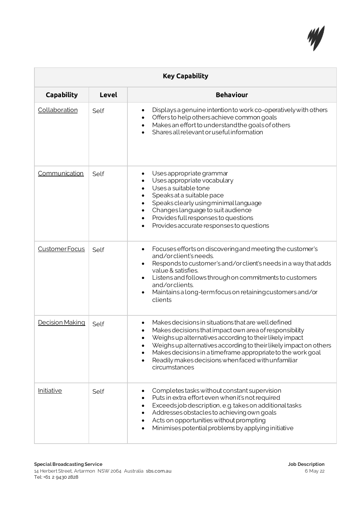

| <b>Key Capability</b> |              |                                                                                                                                                                                                                                                                                                                                                                                     |
|-----------------------|--------------|-------------------------------------------------------------------------------------------------------------------------------------------------------------------------------------------------------------------------------------------------------------------------------------------------------------------------------------------------------------------------------------|
| <b>Capability</b>     | <b>Level</b> | <b>Behaviour</b>                                                                                                                                                                                                                                                                                                                                                                    |
| Collaboration         | Self         | Displays a genuine intention to work co-operatively with others<br>Offers to help others achieve common goals<br>Makes an effort to understand the goals of others<br>$\bullet$<br>Shares all relevant or useful information                                                                                                                                                        |
| Communication         | Self         | Uses appropriate grammar<br>Uses appropriate vocabulary<br>Uses a suitable tone<br>$\bullet$<br>Speaks at a suitable pace<br>Speaks clearly using minimal language<br>Changes language to suit audience<br>Provides full responses to questions<br>$\bullet$<br>Provides accurate responses to questions                                                                            |
| Customer Focus        | Self         | Focuses efforts on discovering and meeting the customer's<br>$\bullet$<br>and/orclient's needs.<br>Responds to customer's and/or client's needs in a way that adds<br>$\bullet$<br>value & satisfies.<br>Listens and follows through on commitments to customers<br>$\bullet$<br>and/orclients.<br>Maintains a long-term focus on retaining customers and/or<br>clients             |
| Decision Making       | Self         | Makes decisions in situations that are well defined<br>Makes decisions that impact own area of responsibility<br>Weighs up alternatives according to their likely impact<br>Weighs up alternatives according to their likely impact on others<br>Makes decisions in a timeframe appropriate to the work goal<br>Readily makes decisions when faced with unfamiliar<br>circumstances |
| <i>Initiative</i>     | Self         | Completes tasks without constant supervision<br>Puts in extra effort even when it's not required<br>Exceeds job description, e.g. takes on additional tasks<br>Addresses obstacles to achieving own goals<br>Acts on opportunities without prompting<br>Minimises potential problems by applying initiative                                                                         |